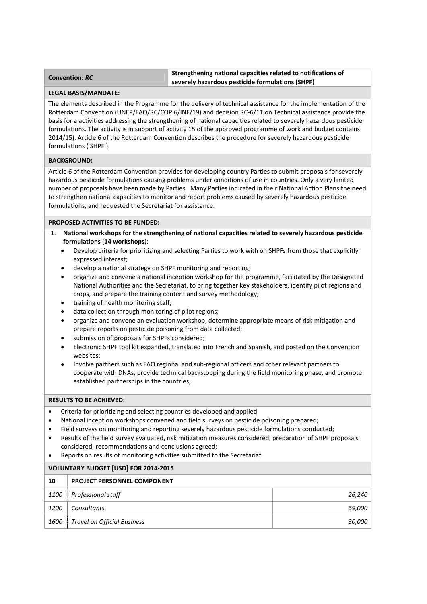## **Convention:** *RC* **Strengthening national capacities related to notifications of severely hazardous pesticide formulations (SHPF)**

#### **LEGAL BASIS/MANDATE:**

The elements described in the Programme for the delivery of technical assistance for the implementation of the Rotterdam Convention (UNEP/FAO/RC/COP.6/INF/19) and decision RC‐6/11 on Technical assistance provide the basis for a activities addressing the strengthening of national capacities related to severely hazardous pesticide formulations. The activity is in support of activity 15 of the approved programme of work and budget contains 2014/15). Article 6 of the Rotterdam Convention describes the procedure for severely hazardous pesticide formulations ( SHPF ).

### **BACKGROUND:**

Article 6 of the Rotterdam Convention provides for developing country Parties to submit proposals for severely hazardous pesticide formulations causing problems under conditions of use in countries. Only a very limited number of proposals have been made by Parties. Many Parties indicated in their National Action Plans the need to strengthen national capacities to monitor and report problems caused by severely hazardous pesticide formulations, and requested the Secretariat for assistance.

## **PROPOSED ACTIVITIES TO BE FUNDED:**

- 1. **National workshops for the strengthening of national capacities related to severely hazardous pesticide formulations** (**14 workshops**);
	- Develop criteria for prioritizing and selecting Parties to work with on SHPFs from those that explicitly expressed interest;
	- develop a national strategy on SHPF monitoring and reporting;
	- organize and convene a national inception workshop for the programme, facilitated by the Designated National Authorities and the Secretariat, to bring together key stakeholders, identify pilot regions and crops, and prepare the training content and survey methodology;
	- training of health monitoring staff;
	- data collection through monitoring of pilot regions;
	- organize and convene an evaluation workshop, determine appropriate means of risk mitigation and prepare reports on pesticide poisoning from data collected;
	- submission of proposals for SHPFs considered;
	- Electronic SHPF tool kit expanded, translated into French and Spanish, and posted on the Convention websites;
	- Involve partners such as FAO regional and sub‐regional officers and other relevant partners to cooperate with DNAs, provide technical backstopping during the field monitoring phase, and promote established partnerships in the countries;

### **RESULTS TO BE ACHIEVED:**

- Criteria for prioritizing and selecting countries developed and applied
- National inception workshops convened and field surveys on pesticide poisoning prepared;
- Field surveys on monitoring and reporting severely hazardous pesticide formulations conducted;
- Results of the field survey evaluated, risk mitigation measures considered, preparation of SHPF proposals considered, recommendations and conclusions agreed;
- Reports on results of monitoring activities submitted to the Secretariat

# **VOLUNTARY BUDGET [USD] FOR 2014‐2015**

| 10          | <b>PROJECT PERSONNEL COMPONENT</b> |        |
|-------------|------------------------------------|--------|
| <i>1100</i> | Professional staff                 | 26,240 |
| <i>1200</i> | Consultants                        | 69,000 |
| 1600        | <b>Travel on Official Business</b> | 30,000 |